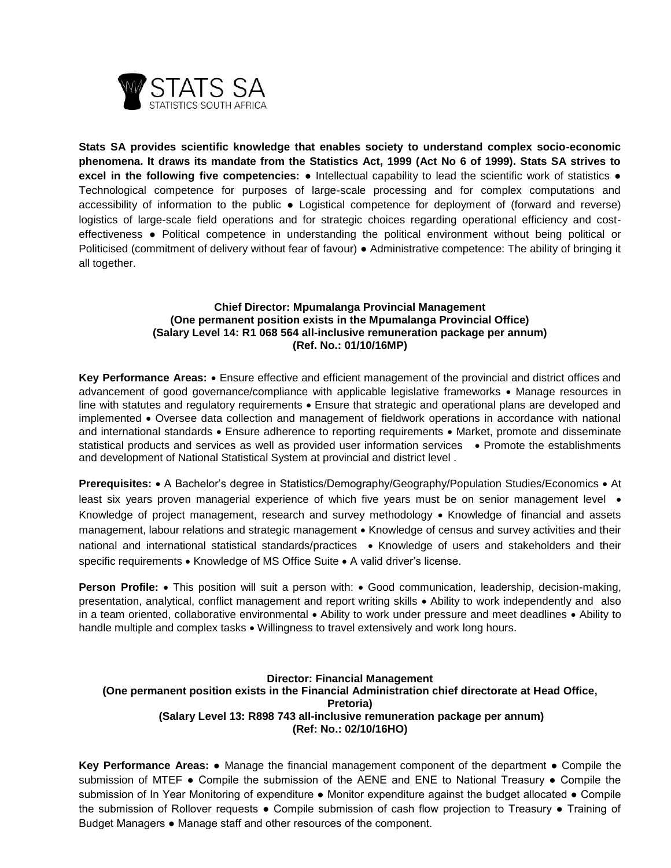

**Stats SA provides scientific knowledge that enables society to understand complex socio-economic phenomena. It draws its mandate from the Statistics Act, 1999 (Act No 6 of 1999). Stats SA strives to excel in the following five competencies:** ● Intellectual capability to lead the scientific work of statistics ● Technological competence for purposes of large-scale processing and for complex computations and accessibility of information to the public ● Logistical competence for deployment of (forward and reverse) logistics of large-scale field operations and for strategic choices regarding operational efficiency and costeffectiveness ● Political competence in understanding the political environment without being political or Politicised (commitment of delivery without fear of favour) ● Administrative competence: The ability of bringing it all together.

## **Chief Director: Mpumalanga Provincial Management (One permanent position exists in the Mpumalanga Provincial Office) (Salary Level 14: R1 068 564 all-inclusive remuneration package per annum) (Ref. No.: 01/10/16MP)**

**Key Performance Areas:**  Ensure effective and efficient management of the provincial and district offices and advancement of good governance/compliance with applicable legislative frameworks • Manage resources in line with statutes and regulatory requirements • Ensure that strategic and operational plans are developed and implemented • Oversee data collection and management of fieldwork operations in accordance with national and international standards • Ensure adherence to reporting requirements • Market, promote and disseminate statistical products and services as well as provided user information services • Promote the establishments and development of National Statistical System at provincial and district level .

**Prerequisites:** • A Bachelor's degree in Statistics/Demography/Geography/Population Studies/Economics • At least six years proven managerial experience of which five years must be on senior management level • Knowledge of project management, research and survey methodology  $\bullet$  Knowledge of financial and assets management, labour relations and strategic management • Knowledge of census and survey activities and their national and international statistical standards/practices • Knowledge of users and stakeholders and their specific requirements • Knowledge of MS Office Suite • A valid driver's license.

**Person Profile:** • This position will suit a person with: • Good communication, leadership, decision-making, presentation, analytical, conflict management and report writing skills Ability to work independently and also in a team oriented, collaborative environmental . Ability to work under pressure and meet deadlines . Ability to handle multiple and complex tasks . Willingness to travel extensively and work long hours.

#### **Director: Financial Management (One permanent position exists in the Financial Administration chief directorate at Head Office, Pretoria) (Salary Level 13: R898 743 all-inclusive remuneration package per annum) (Ref: No.: 02/10/16HO)**

**Key Performance Areas:** ● Manage the financial management component of the department ● Compile the submission of MTEF • Compile the submission of the AENE and ENE to National Treasury • Compile the submission of In Year Monitoring of expenditure • Monitor expenditure against the budget allocated • Compile the submission of Rollover requests ● Compile submission of cash flow projection to Treasury ● Training of Budget Managers ● Manage staff and other resources of the component.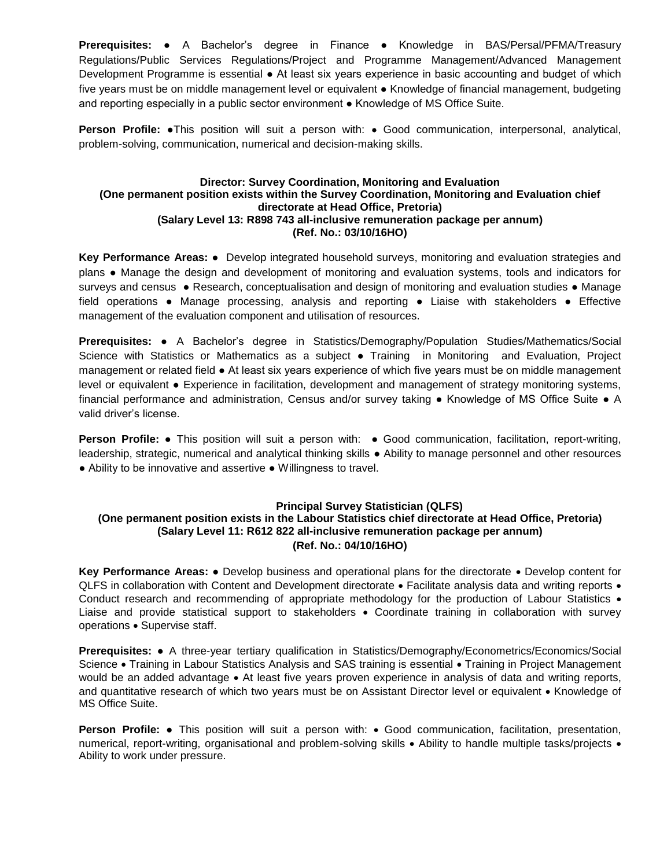**Prerequisites:** ● A Bachelor's degree in Finance ● Knowledge in BAS/Persal/PFMA/Treasury Regulations/Public Services Regulations/Project and Programme Management/Advanced Management Development Programme is essential ● At least six years experience in basic accounting and budget of which five years must be on middle management level or equivalent ● Knowledge of financial management, budgeting and reporting especially in a public sector environment ● Knowledge of MS Office Suite.

**Person Profile:** •This position will suit a person with: • Good communication, interpersonal, analytical, problem-solving, communication, numerical and decision-making skills.

## **Director: Survey Coordination, Monitoring and Evaluation (One permanent position exists within the Survey Coordination, Monitoring and Evaluation chief directorate at Head Office, Pretoria) (Salary Level 13: R898 743 all-inclusive remuneration package per annum) (Ref. No.: 03/10/16HO)**

**Key Performance Areas:** ● Develop integrated household surveys, monitoring and evaluation strategies and plans ● Manage the design and development of monitoring and evaluation systems, tools and indicators for surveys and census • Research, conceptualisation and design of monitoring and evaluation studies • Manage field operations ● Manage processing, analysis and reporting ● Liaise with stakeholders ● Effective management of the evaluation component and utilisation of resources.

**Prerequisites:** ● A Bachelor's degree in Statistics/Demography/Population Studies/Mathematics/Social Science with Statistics or Mathematics as a subject ● Training in Monitoring and Evaluation, Project management or related field ● At least six years experience of which five years must be on middle management level or equivalent ● Experience in facilitation, development and management of strategy monitoring systems, financial performance and administration, Census and/or survey taking ● Knowledge of MS Office Suite ● A valid driver's license.

**Person Profile:** • This position will suit a person with: • Good communication, facilitation, report-writing, leadership, strategic, numerical and analytical thinking skills ● Ability to manage personnel and other resources ● Ability to be innovative and assertive ● Willingness to travel.

# **Principal Survey Statistician (QLFS)**

# **(One permanent position exists in the Labour Statistics chief directorate at Head Office, Pretoria) (Salary Level 11: R612 822 all-inclusive remuneration package per annum) (Ref. No.: 04/10/16HO)**

**Key Performance Areas: ●** Develop business and operational plans for the directorate • Develop content for QLFS in collaboration with Content and Development directorate • Facilitate analysis data and writing reports • Conduct research and recommending of appropriate methodology for the production of Labour Statistics • Liaise and provide statistical support to stakeholders • Coordinate training in collaboration with survey operations . Supervise staff.

**Prerequisites:** ● A three-year tertiary qualification in Statistics/Demography/Econometrics/Economics/Social Science • Training in Labour Statistics Analysis and SAS training is essential • Training in Project Management would be an added advantage • At least five years proven experience in analysis of data and writing reports, and quantitative research of which two years must be on Assistant Director level or equivalent • Knowledge of MS Office Suite.

**Person Profile:** ● This position will suit a person with: ● Good communication, facilitation, presentation, numerical, report-writing, organisational and problem-solving skills • Ability to handle multiple tasks/projects • Ability to work under pressure.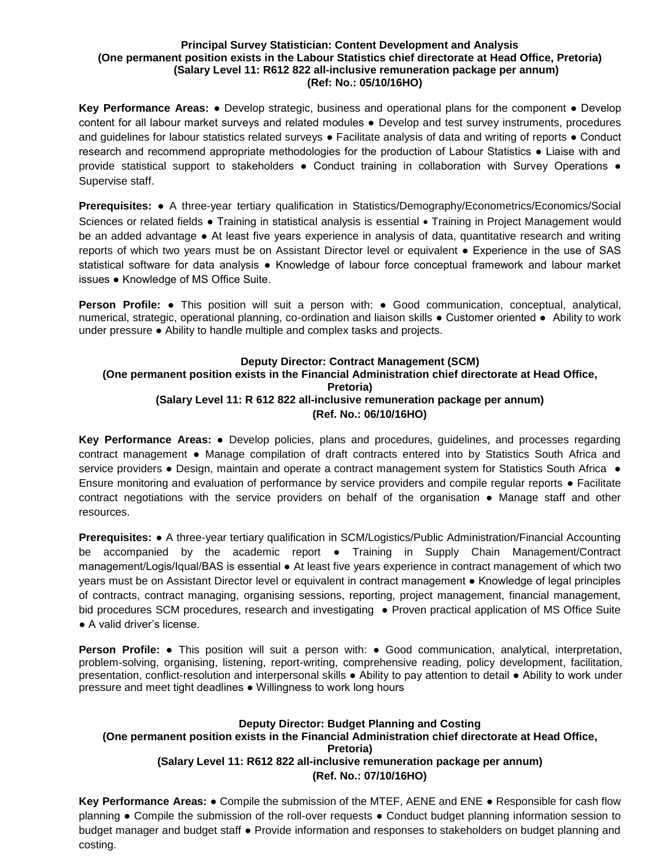#### **Principal Survey Statistician: Content Development and Analysis (One permanent position exists in the Labour Statistics chief directorate at Head Office, Pretoria) (Salary Level 11: R612 822 all-inclusive remuneration package per annum) (Ref: No.: 05/10/16HO)**

**Key Performance Areas:** ● Develop strategic, business and operational plans for the component ● Develop content for all labour market surveys and related modules • Develop and test survey instruments, procedures and guidelines for labour statistics related surveys • Facilitate analysis of data and writing of reports • Conduct research and recommend appropriate methodologies for the production of Labour Statistics ● Liaise with and provide statistical support to stakeholders ● Conduct training in collaboration with Survey Operations ● Supervise staff.

**Prerequisites:** ● A three-year tertiary qualification in Statistics/Demography/Econometrics/Economics/Social Sciences or related fields • Training in statistical analysis is essential • Training in Project Management would be an added advantage ● At least five years experience in analysis of data, quantitative research and writing reports of which two years must be on Assistant Director level or equivalent ● Experience in the use of SAS statistical software for data analysis • Knowledge of labour force conceptual framework and labour market issues ● Knowledge of MS Office Suite.

**Person Profile:** ● This position will suit a person with: ● Good communication, conceptual, analytical, numerical, strategic, operational planning, co-ordination and liaison skills ● Customer oriented ● Ability to work under pressure ● Ability to handle multiple and complex tasks and projects.

## **Deputy Director: Contract Management (SCM) (One permanent position exists in the Financial Administration chief directorate at Head Office, Pretoria) (Salary Level 11: R 612 822 all-inclusive remuneration package per annum) (Ref. No.: 06/10/16HO)**

**Key Performance Areas:** ● Develop policies, plans and procedures, guidelines, and processes regarding contract management ● Manage compilation of draft contracts entered into by Statistics South Africa and service providers • Design, maintain and operate a contract management system for Statistics South Africa • Ensure monitoring and evaluation of performance by service providers and compile regular reports ● Facilitate contract negotiations with the service providers on behalf of the organisation ● Manage staff and other resources.

**Prerequisites:** ● A three-year tertiary qualification in SCM/Logistics/Public Administration/Financial Accounting be accompanied by the academic report • Training in Supply Chain Management/Contract management/Logis/Iqual/BAS is essential ● At least five years experience in contract management of which two years must be on Assistant Director level or equivalent in contract management ● Knowledge of legal principles of contracts, contract managing, organising sessions, reporting, project management, financial management, bid procedures SCM procedures, research and investigating ● Proven practical application of MS Office Suite ● A valid driver's license.

**Person Profile:** ● This position will suit a person with: ● Good communication, analytical, interpretation, problem-solving, organising, listening, report-writing, comprehensive reading, policy development, facilitation, presentation, conflict-resolution and interpersonal skills ● Ability to pay attention to detail ● Ability to work under pressure and meet tight deadlines ● Willingness to work long hours

## **Deputy Director: Budget Planning and Costing (One permanent position exists in the Financial Administration chief directorate at Head Office, Pretoria) (Salary Level 11: R612 822 all-inclusive remuneration package per annum) (Ref. No.: 07/10/16HO)**

**Key Performance Areas:** ● Compile the submission of the MTEF, AENE and ENE ● Responsible for cash flow planning ● Compile the submission of the roll-over requests ● Conduct budget planning information session to budget manager and budget staff ● Provide information and responses to stakeholders on budget planning and costing.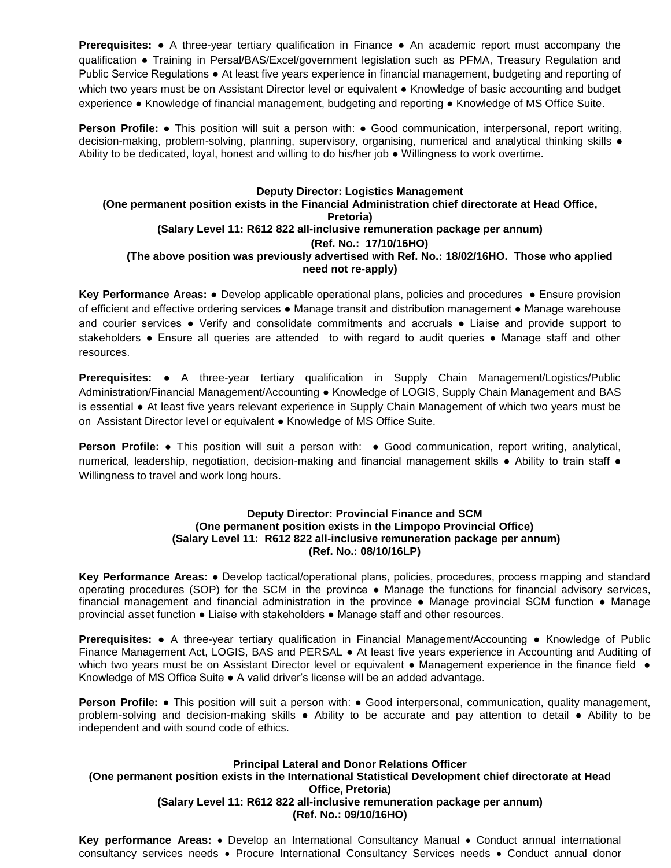**Prerequisites: •** A three-year tertiary qualification in Finance • An academic report must accompany the qualification ● Training in Persal/BAS/Excel/government legislation such as PFMA, Treasury Regulation and Public Service Regulations ● At least five years experience in financial management, budgeting and reporting of which two years must be on Assistant Director level or equivalent • Knowledge of basic accounting and budget experience ● Knowledge of financial management, budgeting and reporting ● Knowledge of MS Office Suite.

**Person Profile:** • This position will suit a person with: • Good communication, interpersonal, report writing, decision-making, problem-solving, planning, supervisory, organising, numerical and analytical thinking skills ● Ability to be dedicated, loyal, honest and willing to do his/her job ● Willingness to work overtime.

## **Deputy Director: Logistics Management (One permanent position exists in the Financial Administration chief directorate at Head Office, Pretoria) (Salary Level 11: R612 822 all-inclusive remuneration package per annum) (Ref. No.: 17/10/16HO) (The above position was previously advertised with Ref. No.: 18/02/16HO. Those who applied need not re-apply)**

**Key Performance Areas:** ● Develop applicable operational plans, policies and procedures ● Ensure provision of efficient and effective ordering services ● Manage transit and distribution management ● Manage warehouse and courier services ● Verify and consolidate commitments and accruals ● Liaise and provide support to stakeholders ● Ensure all queries are attended to with regard to audit queries ● Manage staff and other resources.

**Prerequisites:** ● A three-year tertiary qualification in Supply Chain Management/Logistics/Public Administration/Financial Management/Accounting ● Knowledge of LOGIS, Supply Chain Management and BAS is essential ● At least five years relevant experience in Supply Chain Management of which two years must be on Assistant Director level or equivalent ● Knowledge of MS Office Suite.

**Person Profile:** ● This position will suit a person with: ● Good communication, report writing, analytical, numerical, leadership, negotiation, decision-making and financial management skills ● Ability to train staff ● Willingness to travel and work long hours.

### **Deputy Director: Provincial Finance and SCM (One permanent position exists in the Limpopo Provincial Office) (Salary Level 11: R612 822 all-inclusive remuneration package per annum) (Ref. No.: 08/10/16LP)**

**Key Performance Areas:** ● Develop tactical/operational plans, policies, procedures, process mapping and standard operating procedures (SOP) for the SCM in the province ● Manage the functions for financial advisory services, financial management and financial administration in the province • Manage provincial SCM function • Manage provincial asset function ● Liaise with stakeholders ● Manage staff and other resources.

**Prerequisites: •** A three-year tertiary qualification in Financial Management/Accounting • Knowledge of Public Finance Management Act, LOGIS, BAS and PERSAL ● At least five years experience in Accounting and Auditing of which two years must be on Assistant Director level or equivalent • Management experience in the finance field • Knowledge of MS Office Suite ● A valid driver's license will be an added advantage.

**Person Profile: •** This position will suit a person with: • Good interpersonal, communication, quality management, problem-solving and decision-making skills ● Ability to be accurate and pay attention to detail ● Ability to be independent and with sound code of ethics.

## **Principal Lateral and Donor Relations Officer (One permanent position exists in the International Statistical Development chief directorate at Head Office, Pretoria) (Salary Level 11: R612 822 all-inclusive remuneration package per annum) (Ref. No.: 09/10/16HO)**

Key performance Areas: • Develop an International Consultancy Manual • Conduct annual international consultancy services needs • Procure International Consultancy Services needs • Conduct annual donor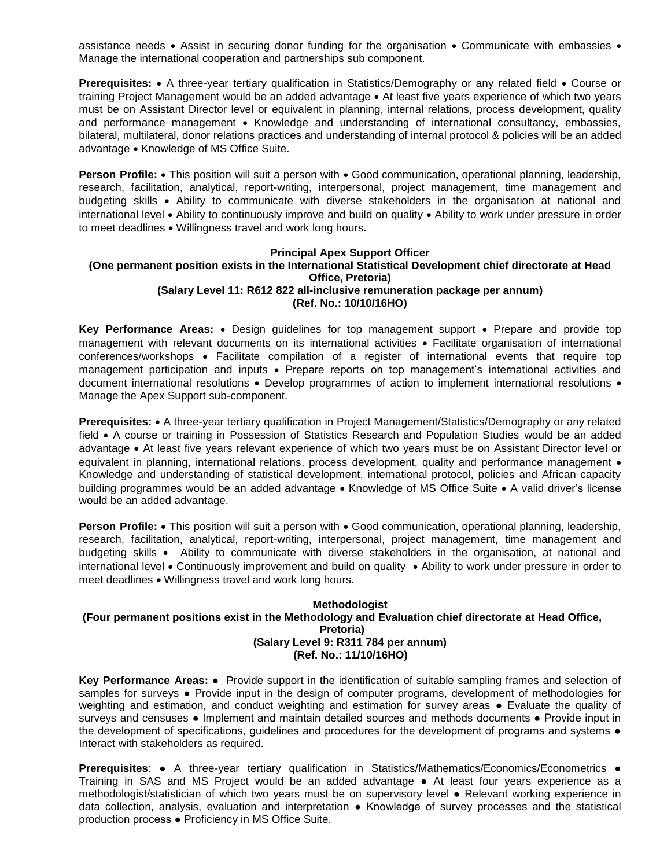assistance needs  $\bullet$  Assist in securing donor funding for the organisation  $\bullet$  Communicate with embassies  $\bullet$ Manage the international cooperation and partnerships sub component.

**Prerequisites:** • A three-year tertiary qualification in Statistics/Demography or any related field • Course or training Project Management would be an added advantage • At least five years experience of which two years must be on Assistant Director level or equivalent in planning, internal relations, process development, quality and performance management • Knowledge and understanding of international consultancy, embassies, bilateral, multilateral, donor relations practices and understanding of internal protocol & policies will be an added advantage • Knowledge of MS Office Suite.

**Person Profile:** • This position will suit a person with • Good communication, operational planning, leadership, research, facilitation, analytical, report-writing, interpersonal, project management, time management and budgeting skills Ability to communicate with diverse stakeholders in the organisation at national and international level • Ability to continuously improve and build on quality • Ability to work under pressure in order to meet deadlines • Willingness travel and work long hours.

#### **Principal Apex Support Officer (One permanent position exists in the International Statistical Development chief directorate at Head Office, Pretoria) (Salary Level 11: R612 822 all-inclusive remuneration package per annum) (Ref. No.: 10/10/16HO)**

**Key Performance Areas:** • Design guidelines for top management support • Prepare and provide top management with relevant documents on its international activities • Facilitate organisation of international conferences/workshops • Facilitate compilation of a register of international events that require top management participation and inputs • Prepare reports on top management's international activities and document international resolutions . Develop programmes of action to implement international resolutions . Manage the Apex Support sub-component.

**Prerequisites:** • A three-year tertiary qualification in Project Management/Statistics/Demography or any related field • A course or training in Possession of Statistics Research and Population Studies would be an added advantage At least five years relevant experience of which two years must be on Assistant Director level or equivalent in planning, international relations, process development, quality and performance management • Knowledge and understanding of statistical development, international protocol, policies and African capacity building programmes would be an added advantage • Knowledge of MS Office Suite • A valid driver's license would be an added advantage.

**Person Profile:** • This position will suit a person with • Good communication, operational planning, leadership, research, facilitation, analytical, report-writing, interpersonal, project management, time management and budgeting skills Ability to communicate with diverse stakeholders in the organisation, at national and international level Continuously improvement and build on quality Ability to work under pressure in order to meet deadlines • Willingness travel and work long hours.

#### **Methodologist (Four permanent positions exist in the Methodology and Evaluation chief directorate at Head Office, Pretoria) (Salary Level 9: R311 784 per annum) (Ref. No.: 11/10/16HO)**

**Key Performance Areas:** ● Provide support in the identification of suitable sampling frames and selection of samples for surveys • Provide input in the design of computer programs, development of methodologies for weighting and estimation, and conduct weighting and estimation for survey areas ● Evaluate the quality of surveys and censuses • Implement and maintain detailed sources and methods documents • Provide input in the development of specifications, guidelines and procedures for the development of programs and systems  $\bullet$ Interact with stakeholders as required.

**Prerequisites**: ● A three-year tertiary qualification in Statistics/Mathematics/Economics/Econometrics ● Training in SAS and MS Project would be an added advantage ● At least four years experience as a methodologist/statistician of which two years must be on supervisory level ● Relevant working experience in data collection, analysis, evaluation and interpretation ● Knowledge of survey processes and the statistical production process ● Proficiency in MS Office Suite.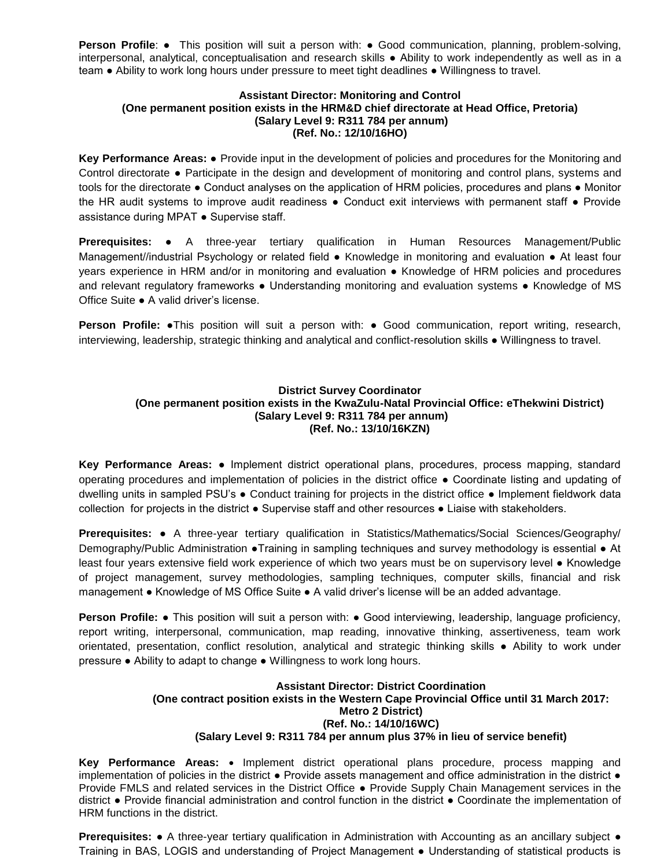**Person Profile:** • This position will suit a person with: • Good communication, planning, problem-solving, interpersonal, analytical, conceptualisation and research skills ● Ability to work independently as well as in a team ● Ability to work long hours under pressure to meet tight deadlines ● Willingness to travel.

#### **Assistant Director: Monitoring and Control (One permanent position exists in the HRM&D chief directorate at Head Office, Pretoria) (Salary Level 9: R311 784 per annum) (Ref. No.: 12/10/16HO)**

**Key Performance Areas:** ● Provide input in the development of policies and procedures for the Monitoring and Control directorate ● Participate in the design and development of monitoring and control plans, systems and tools for the directorate ● Conduct analyses on the application of HRM policies, procedures and plans ● Monitor the HR audit systems to improve audit readiness ● Conduct exit interviews with permanent staff ● Provide assistance during MPAT ● Supervise staff.

**Prerequisites:** ● A three-year tertiary qualification in Human Resources Management/Public Management//industrial Psychology or related field • Knowledge in monitoring and evaluation • At least four years experience in HRM and/or in monitoring and evaluation ● Knowledge of HRM policies and procedures and relevant regulatory frameworks ● Understanding monitoring and evaluation systems ● Knowledge of MS Office Suite ● A valid driver's license.

**Person Profile:** ●This position will suit a person with: ● Good communication, report writing, research, interviewing, leadership, strategic thinking and analytical and conflict-resolution skills ● Willingness to travel.

## **District Survey Coordinator (One permanent position exists in the KwaZulu-Natal Provincial Office: eThekwini District) (Salary Level 9: R311 784 per annum) (Ref. No.: 13/10/16KZN)**

**Key Performance Areas:** ● Implement district operational plans, procedures, process mapping, standard operating procedures and implementation of policies in the district office ● Coordinate listing and updating of dwelling units in sampled PSU's ● Conduct training for projects in the district office ● Implement fieldwork data collection for projects in the district ● Supervise staff and other resources ● Liaise with stakeholders.

**Prerequisites:** ● A three-year tertiary qualification in Statistics/Mathematics/Social Sciences/Geography/ Demography/Public Administration ●Training in sampling techniques and survey methodology is essential ● At least four years extensive field work experience of which two years must be on supervisory level ● Knowledge of project management, survey methodologies, sampling techniques, computer skills, financial and risk management ● Knowledge of MS Office Suite ● A valid driver's license will be an added advantage.

**Person Profile: •** This position will suit a person with: • Good interviewing, leadership, language proficiency, report writing, interpersonal, communication, map reading, innovative thinking, assertiveness, team work orientated, presentation, conflict resolution, analytical and strategic thinking skills ● Ability to work under pressure ● Ability to adapt to change ● Willingness to work long hours.

## **Assistant Director: District Coordination (One contract position exists in the Western Cape Provincial Office until 31 March 2017: Metro 2 District) (Ref. No.: 14/10/16WC) (Salary Level 9: R311 784 per annum plus 37% in lieu of service benefit)**

**Key Performance Areas: •** Implement district operational plans procedure, process mapping and implementation of policies in the district • Provide assets management and office administration in the district • Provide FMLS and related services in the District Office ● Provide Supply Chain Management services in the district ● Provide financial administration and control function in the district ● Coordinate the implementation of HRM functions in the district.

**Prerequisites: •** A three-year tertiary qualification in Administration with Accounting as an ancillary subject • Training in BAS, LOGIS and understanding of Project Management ● Understanding of statistical products is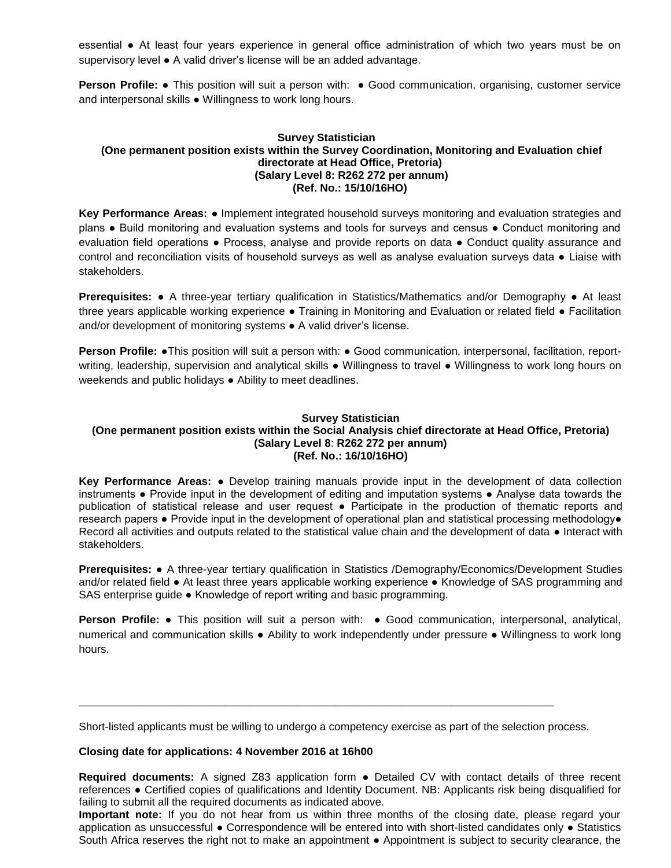essential ● At least four years experience in general office administration of which two years must be on supervisory level ● A valid driver's license will be an added advantage.

**Person Profile:** • This position will suit a person with: • Good communication, organising, customer service and interpersonal skills ● Willingness to work long hours.

## **Survey Statistician (One permanent position exists within the Survey Coordination, Monitoring and Evaluation chief directorate at Head Office, Pretoria) (Salary Level 8: R262 272 per annum) (Ref. No.: 15/10/16HO)**

**Key Performance Areas:** ● Implement integrated household surveys monitoring and evaluation strategies and plans ● Build monitoring and evaluation systems and tools for surveys and census ● Conduct monitoring and evaluation field operations ● Process, analyse and provide reports on data ● Conduct quality assurance and control and reconciliation visits of household surveys as well as analyse evaluation surveys data ● Liaise with stakeholders.

**Prerequisites: •** A three-year tertiary qualification in Statistics/Mathematics and/or Demography • At least three years applicable working experience ● Training in Monitoring and Evaluation or related field ● Facilitation and/or development of monitoring systems • A valid driver's license.

**Person Profile: •**This position will suit a person with: • Good communication, interpersonal, facilitation, reportwriting, leadership, supervision and analytical skills ● Willingness to travel ● Willingness to work long hours on weekends and public holidays ● Ability to meet deadlines.

# **Survey Statistician**

#### **(One permanent position exists within the Social Analysis chief directorate at Head Office, Pretoria) (Salary Level 8**: **R262 272 per annum) (Ref. No.: 16/10/16HO)**

**Key Performance Areas:** ● Develop training manuals provide input in the development of data collection instruments ● Provide input in the development of editing and imputation systems ● Analyse data towards the publication of statistical release and user request ● Participate in the production of thematic reports and research papers ● Provide input in the development of operational plan and statistical processing methodology● Record all activities and outputs related to the statistical value chain and the development of data ● Interact with stakeholders.

**Prerequisites:** ● A three-year tertiary qualification in Statistics /Demography/Economics/Development Studies and/or related field ● At least three years applicable working experience ● Knowledge of SAS programming and SAS enterprise guide ● Knowledge of report writing and basic programming.

**Person Profile:** ● This position will suit a person with: ● Good communication, interpersonal, analytical, numerical and communication skills ● Ability to work independently under pressure ● Willingness to work long hours.

Short-listed applicants must be willing to undergo a competency exercise as part of the selection process.

**\_\_\_\_\_\_\_\_\_\_\_\_\_\_\_\_\_\_\_\_\_\_\_\_\_\_\_\_\_\_\_\_\_\_\_\_\_\_\_\_\_\_\_\_\_\_\_\_\_\_\_\_\_\_\_\_\_\_\_\_\_\_\_\_\_\_\_\_\_\_\_\_\_\_\_\_\_\_**

### **Closing date for applications: 4 November 2016 at 16h00**

**Required documents:** A signed Z83 application form ● Detailed CV with contact details of three recent references ● Certified copies of qualifications and Identity Document. NB: Applicants risk being disqualified for failing to submit all the required documents as indicated above.

**Important note:** If you do not hear from us within three months of the closing date, please regard your application as unsuccessful ● Correspondence will be entered into with short-listed candidates only ● Statistics South Africa reserves the right not to make an appointment ● Appointment is subject to security clearance, the